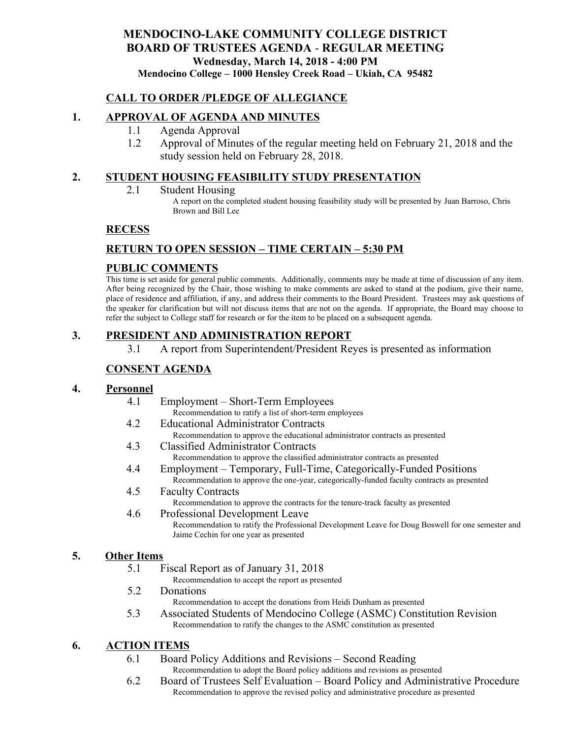# **MENDOCINO-LAKE COMMUNITY COLLEGE DISTRICT BOARD OF TRUSTEES AGENDA** - **REGULAR MEETING Wednesday, March 14, 2018 - 4:00 PM Mendocino College – 1000 Hensley Creek Road – Ukiah, CA 95482**

## **CALL TO ORDER /PLEDGE OF ALLEGIANCE**

## **1. APPROVAL OF AGENDA AND MINUTES**

- 1.1 Agenda Approval
- 1.2 Approval of Minutes of the regular meeting held on February 21, 2018 and the study session held on February 28, 2018.

## **2. STUDENT HOUSING FEASIBILITY STUDY PRESENTATION**

2.1 Student Housing

A report on the completed student housing feasibility study will be presented by Juan Barroso, Chris Brown and Bill Lee

## **RECESS**

# **RETURN TO OPEN SESSION – TIME CERTAIN – 5:30 PM**

## **PUBLIC COMMENTS**

This time is set aside for general public comments. Additionally, comments may be made at time of discussion of any item. After being recognized by the Chair, those wishing to make comments are asked to stand at the podium, give their name, place of residence and affiliation, if any, and address their comments to the Board President. Trustees may ask questions of the speaker for clarification but will not discuss items that are not on the agenda. If appropriate, the Board may choose to refer the subject to College staff for research or for the item to be placed on a subsequent agenda.

## **3. PRESIDENT AND ADMINISTRATION REPORT**

3.1 A report from Superintendent/President Reyes is presented as information

# **CONSENT AGENDA**

### **4. Personnel**

- 4.1 Employment Short-Term Employees
	- Recommendation to ratify a list of short-term employees
- 4.2 Educational Administrator Contracts
	- Recommendation to approve the educational administrator contracts as presented
- 4.3 Classified Administrator Contracts Recommendation to approve the classified administrator contracts as presented
- 4.4 Employment Temporary, Full-Time, Categorically-Funded Positions Recommendation to approve the one-year, categorically-funded faculty contracts as presented
- 4.5 Faculty Contracts Recommendation to approve the contracts for the tenure-track faculty as presented
- 4.6 Professional Development Leave Recommendation to ratify the Professional Development Leave for Doug Boswell for one semester and Jaime Cechin for one year as presented

### **5. Other Items**

5.1 Fiscal Report as of January 31, 2018

Recommendation to accept the report as presented

5.2 Donations

Recommendation to accept the donations from Heidi Dunham as presented

5.3 Associated Students of Mendocino College (ASMC) Constitution Revision Recommendation to ratify the changes to the ASMC constitution as presented

## **6. ACTION ITEMS**

- 6.1 Board Policy Additions and Revisions Second Reading Recommendation to adopt the Board policy additions and revisions as presented
- 6.2 Board of Trustees Self Evaluation Board Policy and Administrative Procedure Recommendation to approve the revised policy and administrative procedure as presented